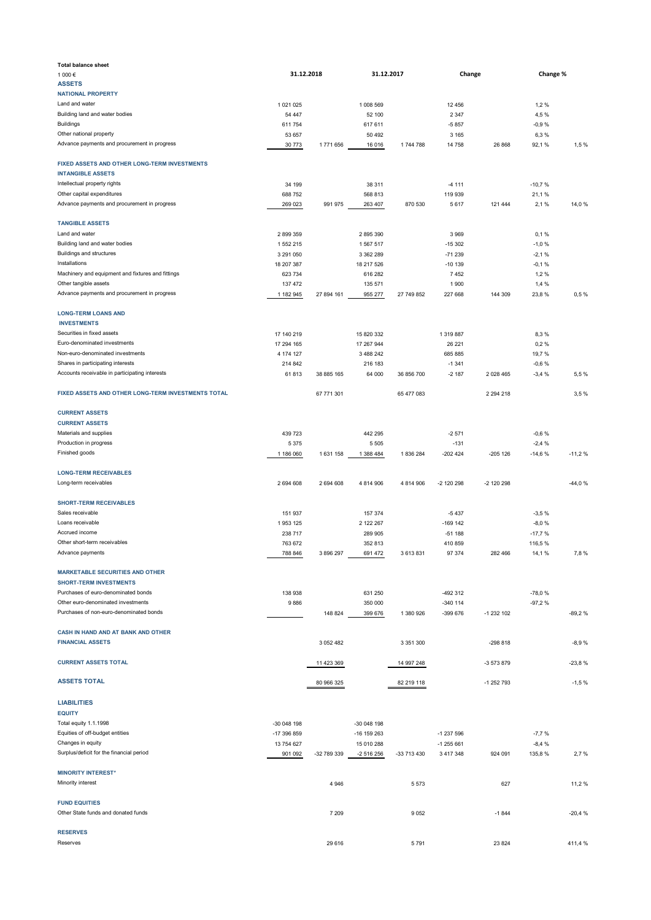| <b>Total balance sheet</b>                                               |               |             |             |             |            |               |          |          |
|--------------------------------------------------------------------------|---------------|-------------|-------------|-------------|------------|---------------|----------|----------|
| 1 000 €                                                                  | 31.12.2018    |             | 31.12.2017  |             | Change     |               | Change % |          |
|                                                                          |               |             |             |             |            |               |          |          |
| <b>ASSETS</b>                                                            |               |             |             |             |            |               |          |          |
| <b>NATIONAL PROPERTY</b>                                                 |               |             |             |             |            |               |          |          |
| Land and water                                                           | 1 0 2 1 0 2 5 |             | 1 008 569   |             | 12 45 6    |               | 1,2%     |          |
|                                                                          |               |             |             |             |            |               |          |          |
| Building land and water bodies                                           | 54 447        |             | 52 100      |             | 2 3 4 7    |               | 4,5%     |          |
| Buildings                                                                | 611 754       |             | 617 611     |             | $-5857$    |               | $-0,9%$  |          |
| Other national property                                                  |               |             |             |             |            |               |          |          |
|                                                                          | 53 657        |             | 50 492      |             | 3 1 6 5    |               | 6,3%     |          |
| Advance payments and procurement in progress                             | 30 773        | 1771656     | 16 016      | 1744788     | 14 758     | 26 868        | 92,1%    | 1,5%     |
|                                                                          |               |             |             |             |            |               |          |          |
| FIXED ASSETS AND OTHER LONG-TERM INVESTMENTS<br><b>INTANGIBLE ASSETS</b> |               |             |             |             |            |               |          |          |
|                                                                          |               |             |             |             |            |               |          |          |
| Intellectual property rights                                             | 34 199        |             | 38 311      |             | $-4111$    |               | $-10,7%$ |          |
| Other capital expenditures                                               | 688 752       |             | 568 813     |             | 119 939    |               | 21,1%    |          |
|                                                                          |               |             |             |             |            |               |          |          |
| Advance payments and procurement in progress                             | 269 023       | 991 975     | 263 407     | 870 530     | 5617       | 121 444       | 2,1%     | 14,0 %   |
|                                                                          |               |             |             |             |            |               |          |          |
| <b>TANGIBLE ASSETS</b>                                                   |               |             |             |             |            |               |          |          |
| Land and water                                                           | 2899359       |             | 2 895 390   |             | 3969       |               | 0,1%     |          |
| Building land and water bodies                                           | 1 552 215     |             | 1 567 517   |             | $-15302$   |               | $-1,0%$  |          |
|                                                                          |               |             |             |             |            |               |          |          |
| <b>Buildings and structures</b>                                          | 3 291 050     |             | 3 362 289   |             | $-71239$   |               | $-2,1%$  |          |
| Installations                                                            | 18 207 387    |             | 18 217 526  |             | $-10139$   |               | $-0,1%$  |          |
| Machinery and equipment and fixtures and fittings                        |               |             |             |             |            |               |          |          |
|                                                                          | 623 734       |             | 616 282     |             | 7452       |               | 1,2%     |          |
| Other tangible assets                                                    | 137 472       |             | 135 571     |             | 1900       |               | 1,4 %    |          |
| Advance payments and procurement in progress                             | 1 182 945     | 27 894 161  | 955 277     | 27 749 852  | 227 668    | 144 309       | 23,8%    | 0,5%     |
|                                                                          |               |             |             |             |            |               |          |          |
| <b>LONG-TERM LOANS AND</b>                                               |               |             |             |             |            |               |          |          |
| <b>INVESTMENTS</b>                                                       |               |             |             |             |            |               |          |          |
| Securities in fixed assets                                               | 17 140 219    |             | 15 820 332  |             | 1 319 887  |               | 8,3%     |          |
|                                                                          |               |             |             |             |            |               |          |          |
| Euro-denominated investments                                             | 17 294 165    |             | 17 267 944  |             | 26 221     |               | 0,2%     |          |
| Non-euro-denominated investments                                         | 4 174 127     |             | 3 488 242   |             | 685 885    |               | 19,7%    |          |
|                                                                          |               |             |             |             |            |               |          |          |
| Shares in participating interests                                        | 214 842       |             | 216 183     |             | $-1341$    |               | $-0,6%$  |          |
| Accounts receivable in participating interests                           | 61813         | 38 885 165  | 64 000      | 36 856 700  | $-2187$    | 2 0 28 4 65   | $-3,4%$  | 5,5%     |
| FIXED ASSETS AND OTHER LONG-TERM INVESTMENTS TOTAL                       |               | 67 771 301  |             | 65 477 083  |            | 2 2 9 4 2 1 8 |          | 3,5%     |
|                                                                          |               |             |             |             |            |               |          |          |
| <b>CURRENT ASSETS</b>                                                    |               |             |             |             |            |               |          |          |
| <b>CURRENT ASSETS</b>                                                    |               |             |             |             |            |               |          |          |
|                                                                          |               |             |             |             |            |               |          |          |
| Materials and supplies                                                   | 439 723       |             | 442 295     |             | $-2571$    |               | $-0,6%$  |          |
| Production in progress                                                   | 5 3 7 5       |             | 5 5 0 5     |             | $-131$     |               | $-2,4%$  |          |
| Finished goods                                                           |               |             |             |             |            |               |          |          |
|                                                                          | 1 186 060     | 1 631 158   | 1 388 484   | 1836284     | $-202424$  | $-205$ 126    | $-14,6%$ | $-11,2%$ |
| <b>LONG-TERM RECEIVABLES</b>                                             |               |             |             |             |            |               |          |          |
|                                                                          |               |             |             |             |            |               |          |          |
| Long-term receivables                                                    | 2694608       | 2 694 608   | 4 8 14 9 06 | 4 814 906   | -2 120 298 | -2 120 298    |          | $-44,0%$ |
|                                                                          |               |             |             |             |            |               |          |          |
| <b>SHORT-TERM RECEIVABLES</b>                                            |               |             |             |             |            |               |          |          |
| Sales receivable                                                         | 151 937       |             | 157 374     |             | $-5437$    |               | $-3,5%$  |          |
|                                                                          |               |             |             |             |            |               |          |          |
| Loans receivable                                                         | 1953 125      |             | 2 122 267   |             | $-169$ 142 |               | $-8,0%$  |          |
| Accrued income                                                           | 238 717       |             | 289 905     |             | $-51188$   |               | $-17,7%$ |          |
| Other short-term receivables                                             |               |             |             |             |            |               |          |          |
|                                                                          | 763 672       |             | 352 813     |             | 410 859    |               | 116,5%   |          |
| Advance payments                                                         | 788 846       | 3 896 297   | 691 472     | 3613831     | 97 374     | 282 466       | 14,1 %   | 7,8 %    |
| <b>MARKETABLE SECURITIES AND OTHER</b>                                   |               |             |             |             |            |               |          |          |
|                                                                          |               |             |             |             |            |               |          |          |
| <b>SHORT-TERM INVESTMENTS</b>                                            |               |             |             |             |            |               |          |          |
| Purchases of euro-denominated bonds                                      | 138 938       |             | 631 250     |             | -492 312   |               | $-78,0%$ |          |
|                                                                          |               |             |             |             |            |               |          |          |
| Other euro-denominated investments                                       | 9886          |             | 350 000     |             | $-340$ 114 |               | $-97,2%$ |          |
| Purchases of non-euro-denominated bonds                                  |               | 148 824     | 399 676     | 1 380 926   | -399 676   | -1 232 102    |          | $-89,2%$ |
|                                                                          |               |             |             |             |            |               |          |          |
| CASH IN HAND AND AT BANK AND OTHER                                       |               |             |             |             |            |               |          |          |
| <b>FINANCIAL ASSETS</b>                                                  |               | 3 052 482   |             | 3 351 300   |            | $-298818$     |          | $-8,9%$  |
| <b>CURRENT ASSETS TOTAL</b>                                              |               | 11 423 369  |             |             |            |               |          |          |
|                                                                          |               |             |             | 14 997 248  |            | -3 573 879    |          | $-23,8%$ |
| <b>ASSETS TOTAL</b>                                                      |               | 80 966 325  |             | 82 219 118  |            | -1 252 793    |          | $-1,5%$  |
|                                                                          |               |             |             |             |            |               |          |          |
| <b>LIABILITIES</b>                                                       |               |             |             |             |            |               |          |          |
| <b>EQUITY</b>                                                            |               |             |             |             |            |               |          |          |
|                                                                          |               |             |             |             |            |               |          |          |
| Total equity 1.1.1998                                                    | -30 048 198   |             | -30 048 198 |             |            |               |          |          |
| Equities of off-budget entities                                          | -17 396 859   |             | -16 159 263 |             | -1 237 596 |               | $-7,7%$  |          |
| Changes in equity                                                        | 13 754 627    |             | 15 010 288  |             | -1 255 661 |               | $-8,4%$  |          |
| Surplus/deficit for the financial period                                 | 901 092       | -32 789 339 | -2 516 256  | -33 713 430 | 3 417 348  | 924 091       | 135,8%   | 2,7%     |
|                                                                          |               |             |             |             |            |               |          |          |
| <b>MINORITY INTEREST*</b>                                                |               |             |             |             |            |               |          |          |
|                                                                          |               |             |             |             |            |               |          |          |
| Minority interest                                                        |               | 4 9 4 6     |             | 5573        |            | 627           |          | 11,2 %   |
|                                                                          |               |             |             |             |            |               |          |          |
| <b>FUND EQUITIES</b>                                                     |               |             |             |             |            |               |          |          |
| Other State funds and donated funds                                      |               | 7 2 0 9     |             | 9052        |            | $-1844$       |          | $-20,4%$ |
|                                                                          |               |             |             |             |            |               |          |          |
|                                                                          |               |             |             |             |            |               |          |          |
| <b>RESERVES</b>                                                          |               |             |             |             |            |               |          |          |
| Reserves                                                                 |               | 29 616      |             | 5791        |            | 23 824        |          | 411,4%   |
|                                                                          |               |             |             |             |            |               |          |          |